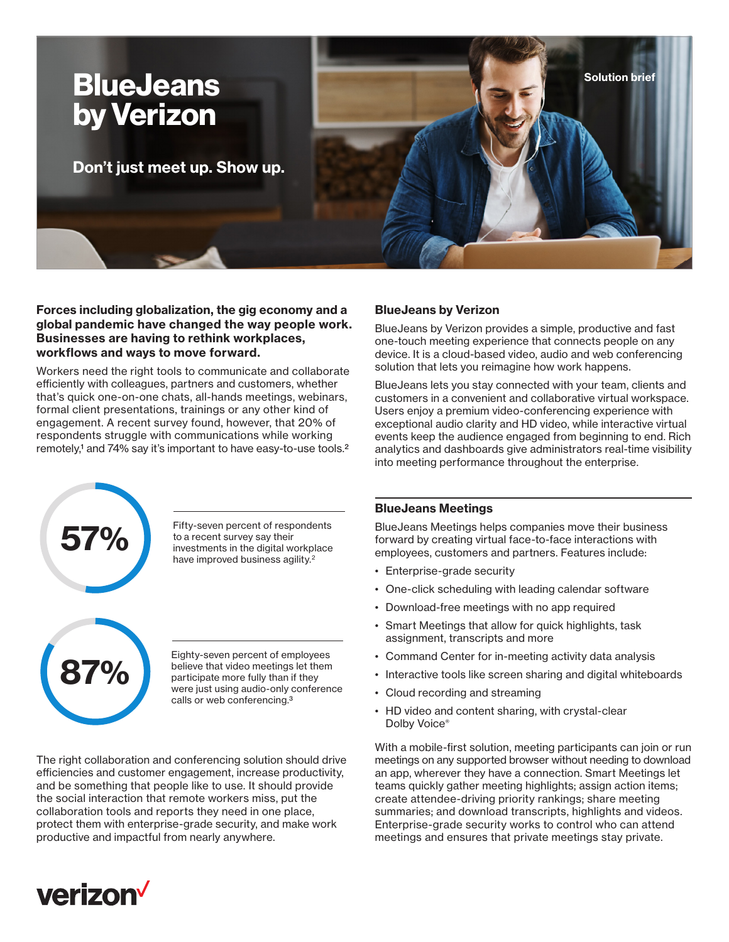

**Forces including globalization, the gig economy and a global pandemic have changed the way people work. Businesses are having to rethink workplaces, workflows and ways to move forward.**

Workers need the right tools to communicate and collaborate efficiently with colleagues, partners and customers, whether that's quick one-on-one chats, all-hands meetings, webinars, formal client presentations, trainings or any other kind of engagement. A recent survey found, however, that 20% of respondents struggle with communications while working remotely,<sup>1</sup> and 74% say it's important to have easy-to-use tools.<sup>2</sup>



**57%** Fifty-seven percent of respondents<br>to a recent survey say their<br>investments in the digital workplace to a recent survey say their have improved business agility.<sup>2</sup>



Eighty-seven percent of employees<br> **87%** believe that video meetings let them<br>
participate more fully than if they<br>
were just using outle only conference believe that video meetings let them participate more fully than if they were just using audio-only conference calls or web conferencing.3

The right collaboration and conferencing solution should drive efficiencies and customer engagement, increase productivity, and be something that people like to use. It should provide the social interaction that remote workers miss, put the collaboration tools and reports they need in one place, protect them with enterprise-grade security, and make work productive and impactful from nearly anywhere.

# **BlueJeans by Verizon**

BlueJeans by Verizon provides a simple, productive and fast one-touch meeting experience that connects people on any device. It is a cloud-based video, audio and web conferencing solution that lets you reimagine how work happens.

BlueJeans lets you stay connected with your team, clients and customers in a convenient and collaborative virtual workspace. Users enjoy a premium video-conferencing experience with exceptional audio clarity and HD video, while interactive virtual events keep the audience engaged from beginning to end. Rich analytics and dashboards give administrators real-time visibility into meeting performance throughout the enterprise.

# **BlueJeans Meetings**

BlueJeans Meetings helps companies move their business forward by creating virtual face-to-face interactions with employees, customers and partners. Features include:

- Enterprise-grade security
- One-click scheduling with leading calendar software
- Download-free meetings with no app required
- Smart Meetings that allow for quick highlights, task assignment, transcripts and more
- Command Center for in-meeting activity data analysis
- Interactive tools like screen sharing and digital whiteboards
- Cloud recording and streaming
- HD video and content sharing, with crystal-clear Dolby Voice®

With a mobile-first solution, meeting participants can join or run meetings on any supported browser without needing to download an app, wherever they have a connection. Smart Meetings let teams quickly gather meeting highlights; assign action items; create attendee-driving priority rankings; share meeting summaries; and download transcripts, highlights and videos. Enterprise-grade security works to control who can attend meetings and ensures that private meetings stay private.